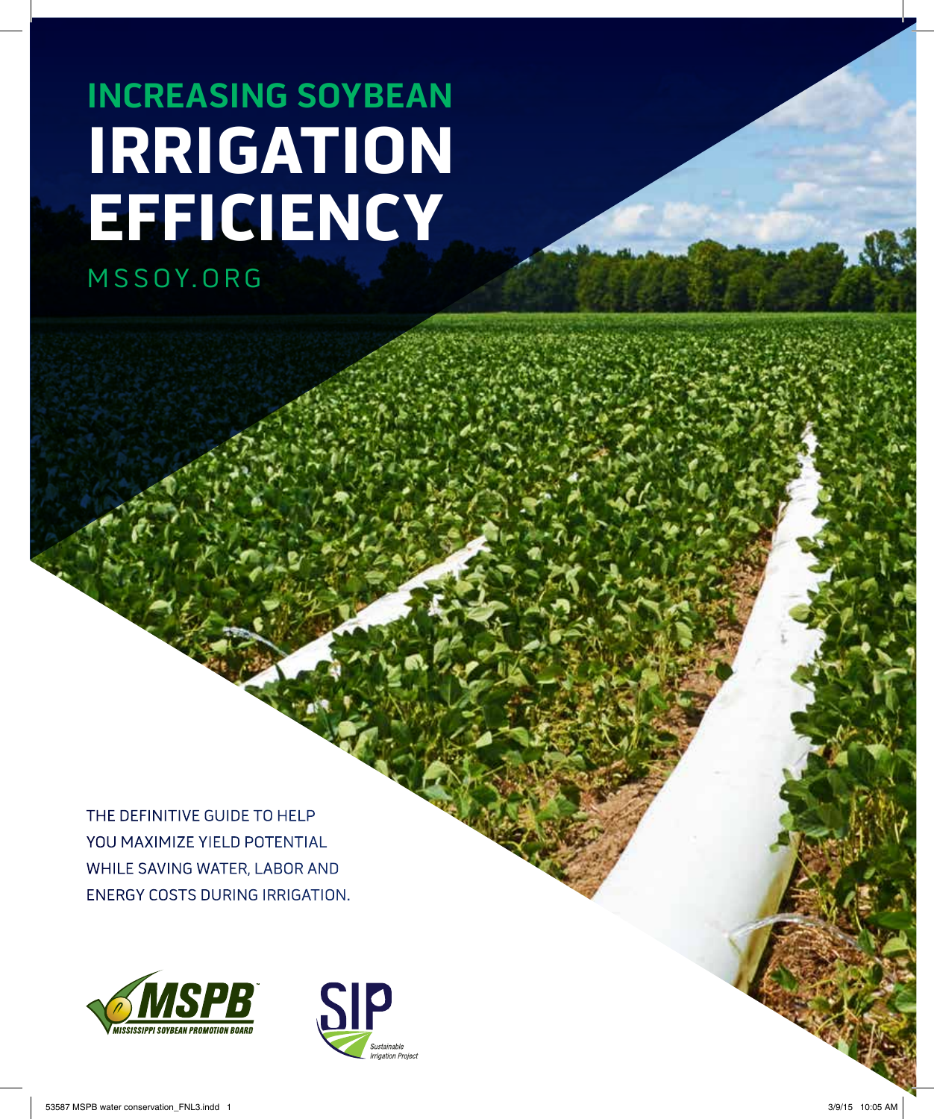# **IRRIGATION EFFICIENCY** MSSOY.ORG **Increasing Soybean**

the definitive guide to help you maximize yield potential while saving water, labor and energy costs during irrigation.



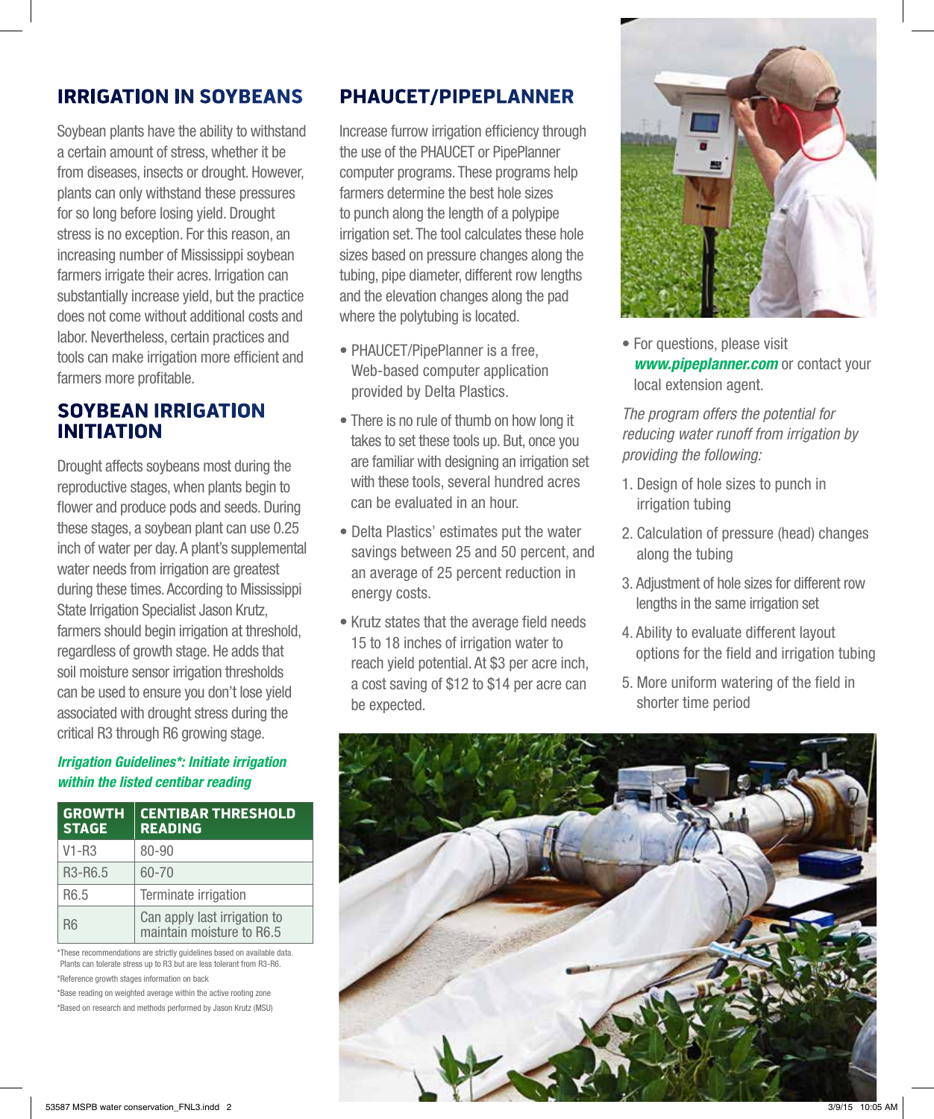## Irrigation in Soybeans

Soybean plants have the ability to withstand a certain amount of stress, whether it be from diseases, insects or drought. However, plants can only withstand these pressures for so long before losing yield. Drought stress is no exception. For this reason, an increasing number of Mississippi soybean farmers irrigate their acres. Irrigation can substantially increase yield, but the practice does not come without additional costs and labor. Nevertheless, certain practices and tools can make irrigation more efficient and farmers more profitable.

### Soybean Irrigation **INITIATION**

Drought affects soybeans most during the reproductive stages, when plants begin to flower and produce pods and seeds. During these stages, a soybean plant can use 0.25 inch of water per day. A plant's supplemental water needs from irrigation are greatest during these times. According to Mississippi State Irrigation Specialist Jason Krutz, farmers should begin irrigation at threshold, regardless of growth stage. He adds that soil moisture sensor irrigation thresholds can be used to ensure you don't lose yield associated with drought stress during the critical R3 through R6 growing stage.

#### *Irrigation Guidelines\*: Initiate irrigation within the listed centibar reading*

| <b>GROWTH</b><br><b>STAGE</b>    | <b>CENTIBAR THRESHOLD</b><br><b>READING</b>               |
|----------------------------------|-----------------------------------------------------------|
| V1-R3                            | 80-90                                                     |
| R <sub>3</sub> -R <sub>6.5</sub> | 60-70                                                     |
| R <sub>6.5</sub>                 | Terminate irrigation                                      |
| <b>R6</b>                        | Can apply last irrigation to<br>maintain moisture to R6.5 |

\*These recommendations are strictly guidelines based on available data. Plants can tolerate stress up to R3 but are less tolerant from R3-R6. \*Reference growth stages information on back

\*Base reading on weighted average within the active rooting zone

\*Based on research and methods performed by Jason Krutz (MSU)

## PHAUCET/PipePlanner

Increase furrow irrigation efficiency through the use of the PHAUCET or PipePlanner computer programs. These programs help farmers determine the best hole sizes to punch along the length of a polypipe irrigation set. The tool calculates these hole sizes based on pressure changes along the tubing, pipe diameter, different row lengths and the elevation changes along the pad where the polytubing is located.

- PHAUCET/PipePlanner is a free, Web-based computer application provided by Delta Plastics.
- There is no rule of thumb on how long it takes to set these tools up. But, once you are familiar with designing an irrigation set with these tools, several hundred acres can be evaluated in an hour.
- Delta Plastics' estimates put the water savings between 25 and 50 percent, and an average of 25 percent reduction in energy costs.
- Krutz states that the average field needs 15 to 18 inches of irrigation water to reach yield potential. At \$3 per acre inch, a cost saving of \$12 to \$14 per acre can be expected.



• For questions, please visit **www.pipeplanner.com** or contact your local extension agent.

*The program offers the potential for reducing water runoff from irrigation by providing the following:*

- 1. Design of hole sizes to punch in irrigation tubing
- 2. Calculation of pressure (head) changes along the tubing
- 3. Adjustment of hole sizes for different row lengths in the same irrigation set
- 4. Ability to evaluate different layout options for the field and irrigation tubing
- 5. More uniform watering of the field in shorter time period

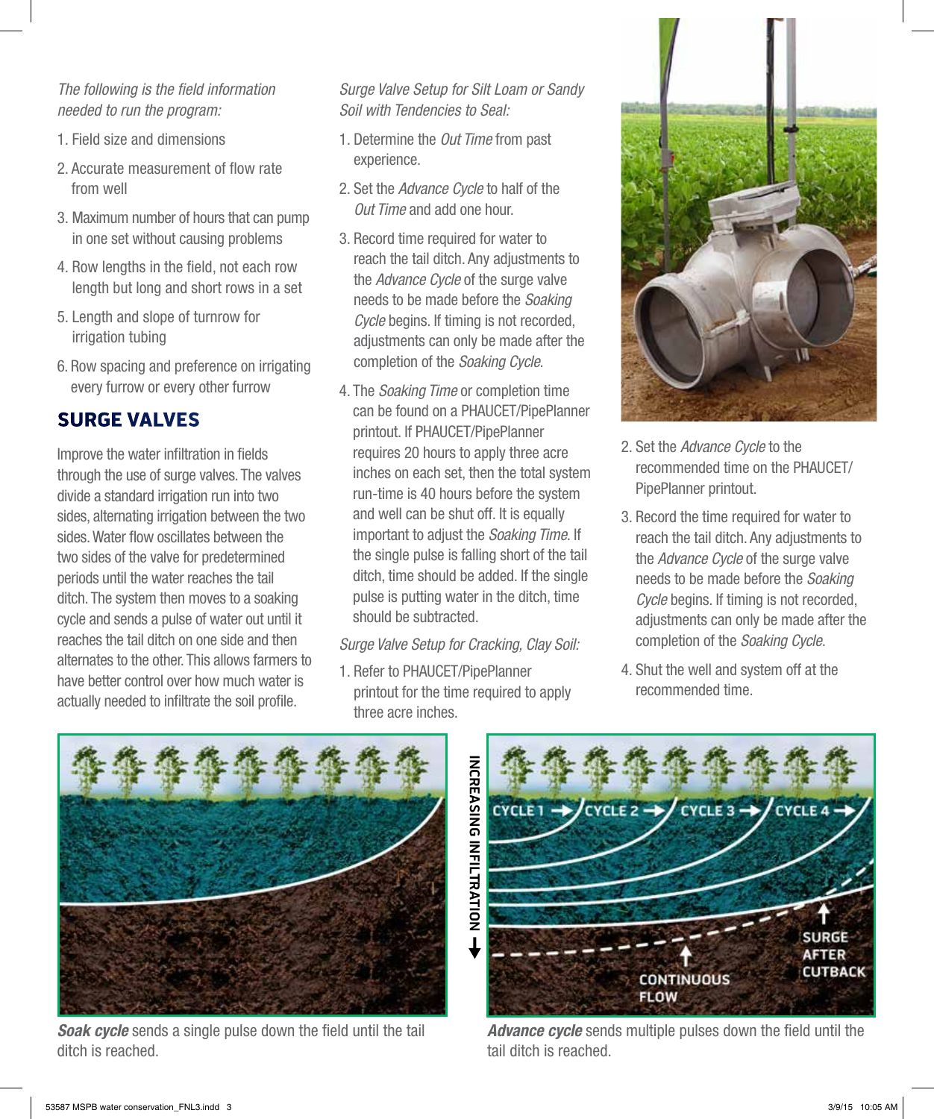#### *The following is the field information needed to run the program:*

- 1. Field size and dimensions
- 2. Accurate measurement of flow rate from well
- 3. Maximum number of hours that can pump in one set without causing problems
- 4. Row lengths in the field, not each row length but long and short rows in a set
- 5. Length and slope of turnrow for irrigation tubing
- 6. Row spacing and preference on irrigating every furrow or every other furrow

# Surge Valves

Improve the water infiltration in fields through the use of surge valves. The valves divide a standard irrigation run into two sides, alternating irrigation between the two sides. Water flow oscillates between the two sides of the valve for predetermined periods until the water reaches the tail ditch. The system then moves to a soaking cycle and sends a pulse of water out until it reaches the tail ditch on one side and then alternates to the other. This allows farmers to have better control over how much water is actually needed to infiltrate the soil profile.

*Surge Valve Setup for Silt Loam or Sandy Soil with Tendencies to Seal:*

- 1. Determine the *Out Time* from past experience.
- 2. Set the *Advance Cycle* to half of the *Out Time* and add one hour.
- 3. Record time required for water to reach the tail ditch. Any adjustments to the *Advance Cycle* of the surge valve needs to be made before the *Soaking Cycle* begins. If timing is not recorded, adjustments can only be made after the completion of the *Soaking Cycle*.
- 4. The *Soaking Time* or completion time can be found on a PHAUCET/PipePlanner printout. If PHAUCET/PipePlanner requires 20 hours to apply three acre inches on each set, then the total system run-time is 40 hours before the system and well can be shut off. It is equally important to adjust the *Soaking Time*. If the single pulse is falling short of the tail ditch, time should be added. If the single pulse is putting water in the ditch, time should be subtracted.

#### *Surge Valve Setup for Cracking, Clay Soil:*

1. Refer to PHAUCET/PipePlanner printout for the time required to apply three acre inches.



- 2. Set the *Advance Cycle* to the recommended time on the PHAUCET/ PipePlanner printout.
- 3. Record the time required for water to reach the tail ditch. Any adjustments to the *Advance Cycle* of the surge valve needs to be made before the *Soaking Cycle* begins. If timing is not recorded, adjustments can only be made after the completion of the *Soaking Cycle*.
- 4. Shut the well and system off at the recommended time.



*Soak cycle* sends a single pulse down the field until the tail ditch is reached.



*Advance cycle* sends multiple pulses down the field until the tail ditch is reached.